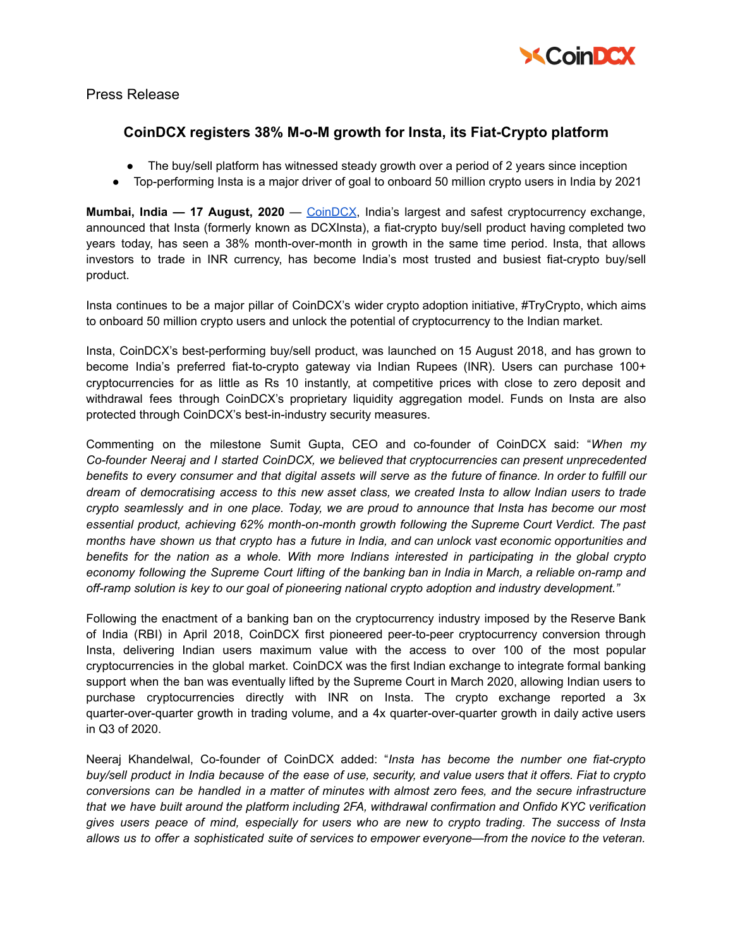

Press Release

## **CoinDCX registers 38% M-o-M growth for Insta, its Fiat-Crypto platform**

- The buy/sell platform has witnessed steady growth over a period of 2 years since inception
- Top-performing Insta is a major driver of goal to onboard 50 million crypto users in India by 2021

**Mumbai, India — 17 August, 2020** — [CoinDCX](https://coindcx.com/), India's largest and safest cryptocurrency exchange, announced that Insta (formerly known as DCXInsta), a fiat-crypto buy/sell product having completed two years today, has seen a 38% month-over-month in growth in the same time period. Insta, that allows investors to trade in INR currency, has become India's most trusted and busiest fiat-crypto buy/sell product.

Insta continues to be a major pillar of CoinDCX's wider crypto adoption initiative, #TryCrypto, which aims to onboard 50 million crypto users and unlock the potential of cryptocurrency to the Indian market.

Insta, CoinDCX's best-performing buy/sell product, was launched on 15 August 2018, and has grown to become India's preferred fiat-to-crypto gateway via Indian Rupees (INR). Users can purchase 100+ cryptocurrencies for as little as Rs 10 instantly, at competitive prices with close to zero deposit and withdrawal fees through CoinDCX's proprietary liquidity aggregation model. Funds on Insta are also protected through CoinDCX's best-in-industry security measures.

Commenting on the milestone Sumit Gupta, CEO and co-founder of CoinDCX said: "*When my Co-founder Neeraj and I started CoinDCX, we believed that cryptocurrencies can present unprecedented* benefits to every consumer and that digital assets will serve as the future of finance. In order to fulfill our dream of democratising access to this new asset class, we created Insta to allow Indian users to trade *crypto seamlessly and in one place. Today, we are proud to announce that Insta has become our most essential product, achieving 62% month-on-month growth following the Supreme Court Verdict. The past* months have shown us that crypto has a future in India, and can unlock vast economic opportunities and *benefits for the nation as a whole. With more Indians interested in participating in the global crypto* economy following the Supreme Court lifting of the banking ban in India in March, a reliable on-ramp and *off-ramp solution is key to our goal of pioneering national crypto adoption and industry development."*

Following the enactment of a banking ban on the cryptocurrency industry imposed by the Reserve Bank of India (RBI) in April 2018, CoinDCX first pioneered peer-to-peer cryptocurrency conversion through Insta, delivering Indian users maximum value with the access to over 100 of the most popular cryptocurrencies in the global market. CoinDCX was the first Indian exchange to integrate formal banking support when the ban was eventually lifted by the Supreme Court in March 2020, allowing Indian users to purchase cryptocurrencies directly with INR on Insta. The crypto exchange reported a 3x quarter-over-quarter growth in trading volume, and a 4x quarter-over-quarter growth in daily active users in Q3 of 2020.

Neeraj Khandelwal, Co-founder of CoinDCX added: "*Insta has become the number one fiat-crypto* buy/sell product in India because of the ease of use, security, and value users that it offers. Fiat to crypto *conversions can be handled in a matter of minutes with almost zero fees, and the secure infrastructure that we have built around the platform including 2FA, withdrawal confirmation and Onfido KYC verification* gives users peace of mind, especially for users who are new to crypto trading. The success of Insta *allows us to offer a sophisticated suite of services to empower everyone—from the novice to the veteran.*